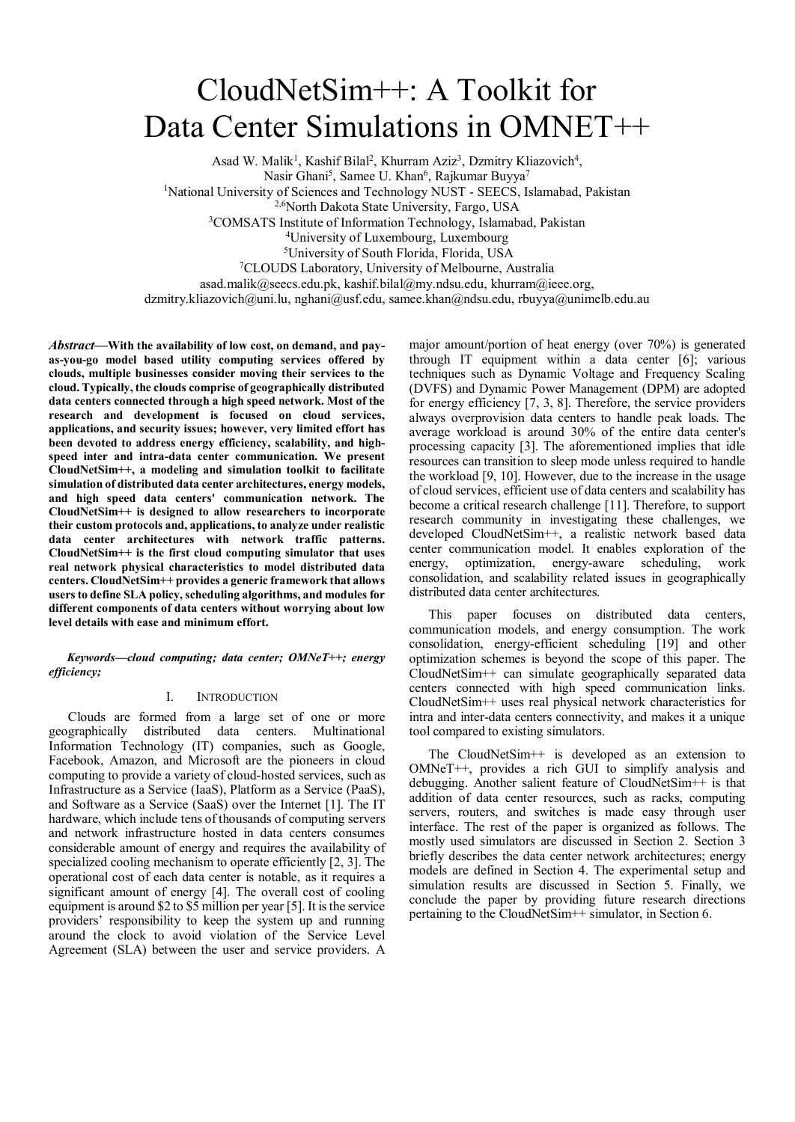# CloudNetSim++: A Toolkit for Data Center Simulations in OMNET++

Asad W. Malik<sup>1</sup>, Kashif Bilal<sup>2</sup>, Khurram Aziz<sup>3</sup>, Dzmitry Kliazovich<sup>4</sup>, Nasir Ghani<sup>5</sup>, Samee U. Khan<sup>6</sup>, Rajkumar Buyya<sup>7</sup> <sup>1</sup>National University of Sciences and Technology NUST - SEECS, Islamabad, Pakistan 2,6North Dakota State University, Fargo, USA <sup>3</sup>COMSATS Institute of Information Technology, Islamabad, Pakistan <sup>4</sup>University of Luxembourg, Luxembourg <sup>5</sup>[University of South Florida,](http://www.usf.edu/) Florida, USA <sup>7</sup>CLOUDS Laboratory, University of Melbourne, Australia [asad.malik@seecs.edu.pk,](mailto:asad.malik@seecs.edu.pk) [kashif.bilal@my.ndsu.edu,](mailto:kashif.bilal@my.ndsu.edu) [khurram@ieee.org,](mailto:khurram@ieee.org)

[dzmitry.kliazovich@uni.lu,](mailto:dzmitry.kliazovich@uni.lu) [nghani@usf.edu,](mailto:nghani@usf.edu) [samee.khan@ndsu.edu,](mailto:samee.khan@ndsu.edu) [rbuyya@unimelb.edu.au](mailto:rbuyya@unimelb.edu.au)

*Abstract***—With the availability of low cost, on demand, and payas-you-go model based utility computing services offered by clouds, multiple businesses consider moving their services to the cloud. Typically, the clouds comprise of geographically distributed data centers connected through a high speed network. Most of the research and development is focused on cloud services, applications, and security issues; however, very limited effort has been devoted to address energy efficiency, scalability, and highspeed inter and intra-data center communication. We present CloudNetSim++, a modeling and simulation toolkit to facilitate simulation of distributed data center architectures, energy models, and high speed data centers' communication network. The CloudNetSim++ is designed to allow researchers to incorporate their custom protocols and, applications, to analyze under realistic data center architectures with network traffic patterns. CloudNetSim++ is the first cloud computing simulator that uses real network physical characteristics to model distributed data centers. CloudNetSim++ provides a generic framework that allows users to define SLA policy, scheduling algorithms, and modules for different components of data centers without worrying about low level details with ease and minimum effort.**

*Keywords—cloud computing; data center; OMNeT++; energy efficiency;*

## I. INTRODUCTION

Clouds are formed from a large set of one or more geographically distributed data centers. Multinational Information Technology (IT) companies, such as Google, Facebook, Amazon, and Microsoft are the pioneers in cloud computing to provide a variety of cloud-hosted services, such as Infrastructure as a Service (IaaS), Platform as a Service (PaaS), and Software as a Service (SaaS) over the Internet [1]. The IT hardware, which include tens of thousands of computing servers and network infrastructure hosted in data centers consumes considerable amount of energy and requires the availability of specialized cooling mechanism to operate efficiently [2, 3]. The operational cost of each data center is notable, as it requires a significant amount of energy [4]. The overall cost of cooling equipment is around \$2 to \$5 million per year [5]. It is the service providers' responsibility to keep the system up and running around the clock to avoid violation of the Service Level Agreement (SLA) between the user and service providers. A

major amount/portion of heat energy (over 70%) is generated through IT equipment within a data center [6]; various techniques such as Dynamic Voltage and Frequency Scaling (DVFS) and Dynamic Power Management (DPM) are adopted for energy efficiency [7, 3, 8]. Therefore, the service providers always overprovision data centers to handle peak loads. The average workload is around 30% of the entire data center's processing capacity [3]. The aforementioned implies that idle resources can transition to sleep mode unless required to handle the workload [9, 10]. However, due to the increase in the usage of cloud services, efficient use of data centers and scalability has become a critical research challenge [11]. Therefore, to support research community in investigating these challenges, we developed CloudNetSim++, a realistic network based data center communication model. It enables exploration of the energy, optimization, energy-aware scheduling, work consolidation, and scalability related issues in geographically distributed data center architectures.

This paper focuses on distributed data centers, communication models, and energy consumption. The work consolidation, energy-efficient scheduling [19] and other optimization schemes is beyond the scope of this paper. The CloudNetSim++ can simulate geographically separated data centers connected with high speed communication links. CloudNetSim++ uses real physical network characteristics for intra and inter-data centers connectivity, and makes it a unique tool compared to existing simulators.

The CloudNetSim++ is developed as an extension to OMNeT++, provides a rich GUI to simplify analysis and debugging. Another salient feature of CloudNetSim++ is that addition of data center resources, such as racks, computing servers, routers, and switches is made easy through user interface. The rest of the paper is organized as follows. The mostly used simulators are discussed in Section 2. Section 3 briefly describes the data center network architectures; energy models are defined in Section 4. The experimental setup and simulation results are discussed in Section 5. Finally, we conclude the paper by providing future research directions pertaining to the CloudNetSim++ simulator, in Section 6.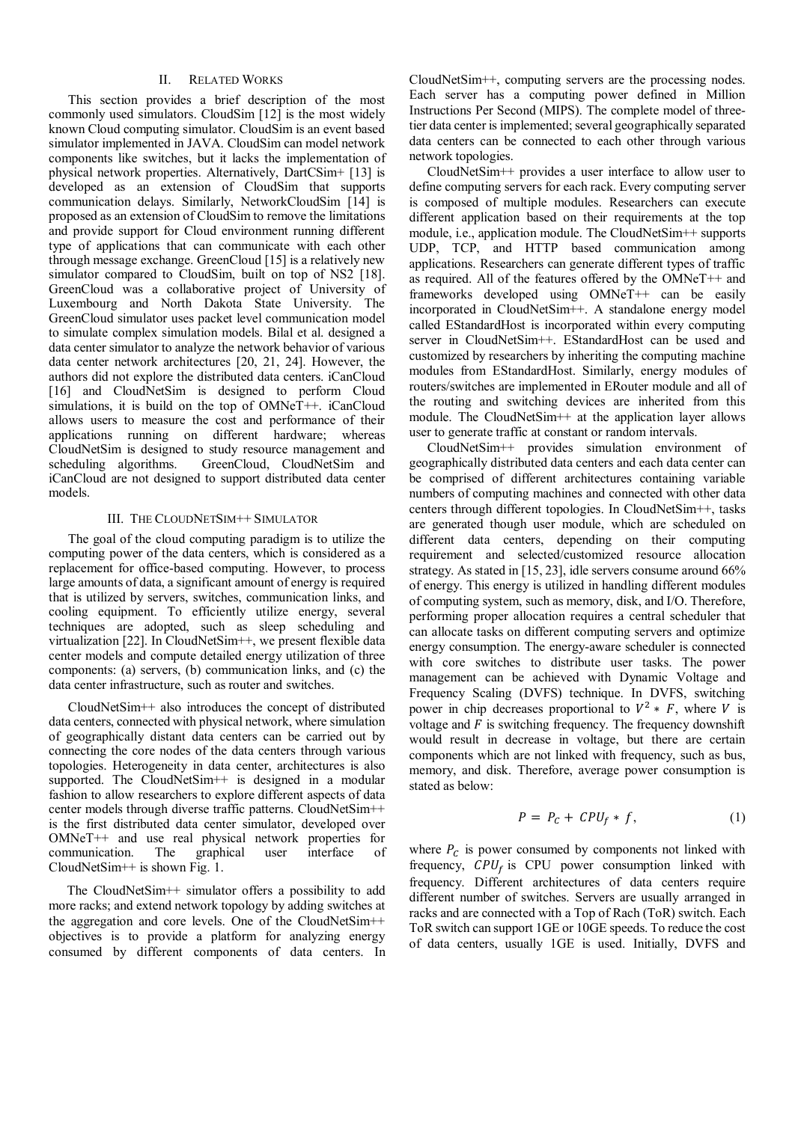# II. RELATED WORKS

This section provides a brief description of the most commonly used simulators. CloudSim [12] is the most widely known Cloud computing simulator. CloudSim is an event based simulator implemented in JAVA. CloudSim can model network components like switches, but it lacks the implementation of physical network properties. Alternatively, DartCSim+ [13] is developed as an extension of CloudSim that supports communication delays. Similarly, NetworkCloudSim [14] is proposed as an extension of CloudSim to remove the limitations and provide support for Cloud environment running different type of applications that can communicate with each other through message exchange. GreenCloud [15] is a relatively new simulator compared to CloudSim, built on top of NS2 [18]. GreenCloud was a collaborative project of University of Luxembourg and North Dakota State University. The GreenCloud simulator uses packet level communication model to simulate complex simulation models. Bilal et al. designed a data center simulator to analyze the network behavior of various data center network architectures [20, 21, 24]. However, the authors did not explore the distributed data centers. iCanCloud [16] and CloudNetSim is designed to perform Cloud simulations, it is build on the top of OMNeT++. iCanCloud allows users to measure the cost and performance of their applications running on different hardware; whereas CloudNetSim is designed to study resource management and scheduling algorithms. GreenCloud, CloudNetSim and iCanCloud are not designed to support distributed data center models.

## III. THE CLOUDNETSIM++ SIMULATOR

The goal of the cloud computing paradigm is to utilize the computing power of the data centers, which is considered as a replacement for office-based computing. However, to process large amounts of data, a significant amount of energy is required that is utilized by servers, switches, communication links, and cooling equipment. To efficiently utilize energy, several techniques are adopted, such as sleep scheduling and virtualization [22]. In CloudNetSim++, we present flexible data center models and compute detailed energy utilization of three components: (a) servers, (b) communication links, and (c) the data center infrastructure, such as router and switches.

CloudNetSim++ also introduces the concept of distributed data centers, connected with physical network, where simulation of geographically distant data centers can be carried out by connecting the core nodes of the data centers through various topologies. Heterogeneity in data center, architectures is also supported. The CloudNetSim<sup>++</sup> is designed in a modular fashion to allow researchers to explore different aspects of data center models through diverse traffic patterns. CloudNetSim++ is the first distributed data center simulator, developed over OMNeT++ and use real physical network properties for communication. The graphical user interface of communication. The graphical user interface of CloudNetSim++ is shown Fig. 1.

The CloudNetSim++ simulator offers a possibility to add more racks; and extend network topology by adding switches at the aggregation and core levels. One of the CloudNetSim++ objectives is to provide a platform for analyzing energy consumed by different components of data centers. In

CloudNetSim++, computing servers are the processing nodes. Each server has a computing power defined in Million Instructions Per Second (MIPS). The complete model of threetier data center is implemented; several geographically separated data centers can be connected to each other through various network topologies.

CloudNetSim++ provides a user interface to allow user to define computing servers for each rack. Every computing server is composed of multiple modules. Researchers can execute different application based on their requirements at the top module, i.e., application module. The CloudNetSim++ supports UDP, TCP, and HTTP based communication among applications. Researchers can generate different types of traffic as required. All of the features offered by the OMNeT++ and frameworks developed using OMNeT++ can be easily incorporated in CloudNetSim++. A standalone energy model called EStandardHost is incorporated within every computing server in CloudNetSim++. EStandardHost can be used and customized by researchers by inheriting the computing machine modules from EStandardHost. Similarly, energy modules of routers/switches are implemented in ERouter module and all of the routing and switching devices are inherited from this module. The CloudNetSim++ at the application layer allows user to generate traffic at constant or random intervals.

CloudNetSim++ provides simulation environment of geographically distributed data centers and each data center can be comprised of different architectures containing variable numbers of computing machines and connected with other data centers through different topologies. In CloudNetSim++, tasks are generated though user module, which are scheduled on different data centers, depending on their computing requirement and selected/customized resource allocation strategy. As stated in [15, 23], idle servers consume around 66% of energy. This energy is utilized in handling different modules of computing system, such as memory, disk, and I/O. Therefore, performing proper allocation requires a central scheduler that can allocate tasks on different computing servers and optimize energy consumption. The energy-aware scheduler is connected with core switches to distribute user tasks. The power management can be achieved with Dynamic Voltage and Frequency Scaling (DVFS) technique. In DVFS, switching power in chip decreases proportional to  $V^2 * F$ , where V is voltage and  $F$  is switching frequency. The frequency downshift would result in decrease in voltage, but there are certain components which are not linked with frequency, such as bus, memory, and disk. Therefore, average power consumption is stated as below:

$$
P = P_c + CPU_f * f, \tag{1}
$$

where  $P_c$  is power consumed by components not linked with frequency,  $CPU_f$  is CPU power consumption linked with frequency. Different architectures of data centers require different number of switches. Servers are usually arranged in racks and are connected with a Top of Rach (ToR) switch. Each ToR switch can support 1GE or 10GE speeds. To reduce the cost of data centers, usually 1GE is used. Initially, DVFS and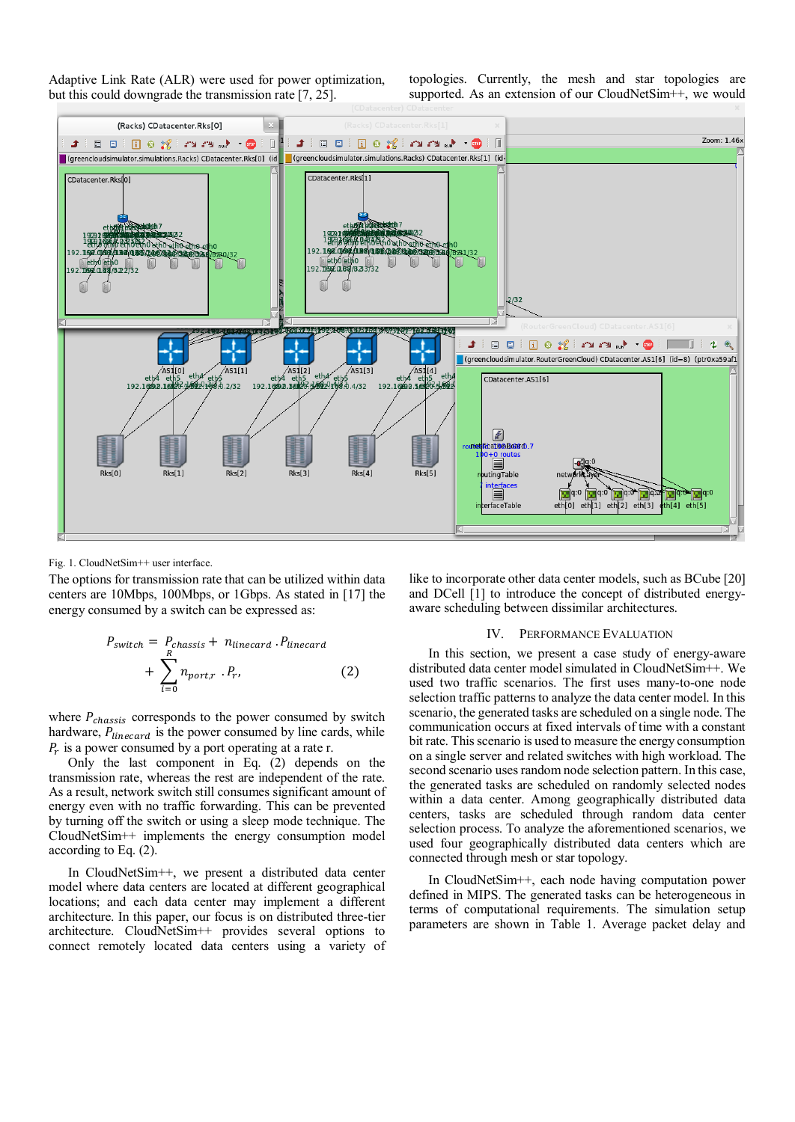Adaptive Link Rate (ALR) were used for power optimization, but this could downgrade the transmission rate [7, 25].

topologies. Currently, the mesh and star topologies are supported. As an extension of our CloudNetSim++, we would



Fig. 1. CloudNetSim++ user interface.

The options for transmission rate that can be utilized within data centers are 10Mbps, 100Mbps, or 1Gbps. As stated in [17] the energy consumed by a switch can be expressed as:

$$
P_{switch} = P_{chassis} + n_{linecard} \cdot P_{linecard}
$$

$$
+ \sum_{i=0}^{R} n_{port,r} \cdot P_r,
$$
 (2)

where  $P_{chassis}$  corresponds to the power consumed by switch hardware,  $P_{linear}$  is the power consumed by line cards, while  $P_r$  is a power consumed by a port operating at a rate r.

Only the last component in Eq. (2) depends on the transmission rate, whereas the rest are independent of the rate. As a result, network switch still consumes significant amount of energy even with no traffic forwarding. This can be prevented by turning off the switch or using a sleep mode technique. The CloudNetSim++ implements the energy consumption model according to Eq. (2).

In CloudNetSim++, we present a distributed data center model where data centers are located at different geographical locations; and each data center may implement a different architecture. In this paper, our focus is on distributed three-tier architecture. CloudNetSim++ provides several options to connect remotely located data centers using a variety of

like to incorporate other data center models, such as BCube [20] and DCell [1] to introduce the concept of distributed energyaware scheduling between dissimilar architectures.

#### IV. PERFORMANCE EVALUATION

In this section, we present a case study of energy-aware distributed data center model simulated in CloudNetSim++. We used two traffic scenarios. The first uses many-to-one node selection traffic patterns to analyze the data center model. In this scenario, the generated tasks are scheduled on a single node. The communication occurs at fixed intervals of time with a constant bit rate. This scenario is used to measure the energy consumption on a single server and related switches with high workload. The second scenario uses random node selection pattern. In this case, the generated tasks are scheduled on randomly selected nodes within a data center. Among geographically distributed data centers, tasks are scheduled through random data center selection process. To analyze the aforementioned scenarios, we used four geographically distributed data centers which are connected through mesh or star topology.

In CloudNetSim++, each node having computation power defined in MIPS. The generated tasks can be heterogeneous in terms of computational requirements. The simulation setup parameters are shown in [Table 1.](#page-3-0) Average packet delay and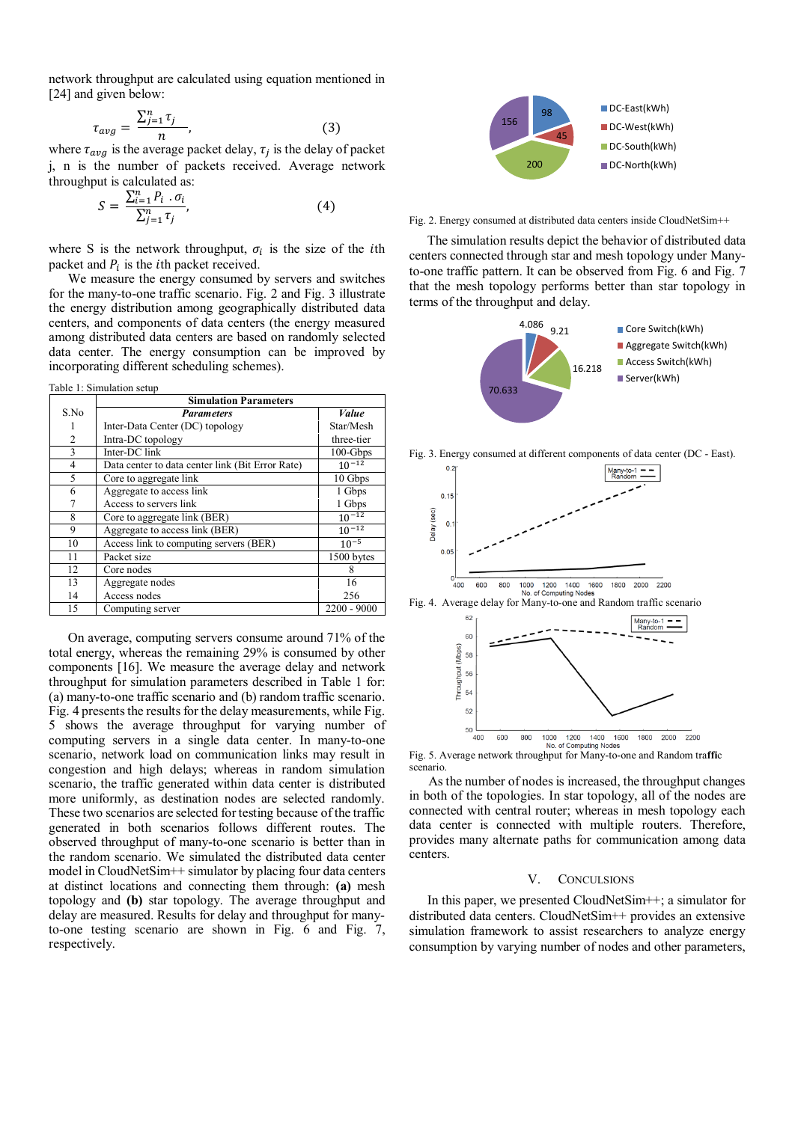network throughput are calculated using equation mentioned in [24] and given below:

$$
\tau_{avg} = \frac{\sum_{j=1}^{n} \tau_j}{n},\tag{3}
$$

where  $\tau_{avg}$  is the average packet delay,  $\tau_j$  is the delay of packet j, n is the number of packets received. Average network throughput is calculated as:

$$
S = \frac{\sum_{i=1}^{n} P_i \cdot \sigma_i}{\sum_{j=1}^{n} \tau_j},\tag{4}
$$

where S is the network throughput,  $\sigma_i$  is the size of the *i*th packet and  $P_i$  is the *i*th packet received.

We measure the energy consumed by servers and switches for the many-to-one traffic scenario. [Fig.](#page-3-1) 2 and [Fig.](#page-3-2) 3 illustrate the energy distribution among geographically distributed data centers, and components of data centers (the energy measured among distributed data centers are based on randomly selected data center. The energy consumption can be improved by incorporating different scheduling schemes).

<span id="page-3-0"></span>Table 1: Simulation setup

|                | <b>Simulation Parameters</b>                     |               |  |
|----------------|--------------------------------------------------|---------------|--|
| S.No           | <b>Parameters</b>                                | Value         |  |
|                | Inter-Data Center (DC) topology                  | Star/Mesh     |  |
| $\overline{2}$ | Intra-DC topology                                | three-tier    |  |
| 3              | Inter-DC link                                    | $100$ -Gbps   |  |
| 4              | Data center to data center link (Bit Error Rate) | $10^{-12}$    |  |
| 5              | Core to aggregate link                           | 10 Gbps       |  |
| 6              | Aggregate to access link                         | 1 Gbps        |  |
| 7              | Access to servers link                           | 1 Gbps        |  |
| 8              | Core to aggregate link (BER)                     | $10^{-12}$    |  |
| 9              | Aggregate to access link (BER)                   | $10^{-12}$    |  |
| 10             | Access link to computing servers (BER)           | $10^{-5}$     |  |
| 11             | Packet size                                      | 1500 bytes    |  |
| 12             | Core nodes                                       | 8             |  |
| 13             | Aggregate nodes                                  | 16            |  |
| 14             | Access nodes                                     | 256           |  |
| 15             | Computing server                                 | $2200 - 9000$ |  |

On average, computing servers consume around 71% of the total energy, whereas the remaining 29% is consumed by other components [16]. We measure the average delay and network throughput for simulation parameters described in Table 1 for: (a) many-to-one traffic scenario and (b) random traffic scenario. [Fig.](#page-3-3) 4 presents the results for the delay measurements, while [Fig.](#page-3-4) [5](#page-3-4) shows the average throughput for varying number of computing servers in a single data center. In many-to-one scenario, network load on communication links may result in congestion and high delays; whereas in random simulation scenario, the traffic generated within data center is distributed more uniformly, as destination nodes are selected randomly. These two scenarios are selected for testing because of the traffic generated in both scenarios follows different routes. The observed throughput of many-to-one scenario is better than in the random scenario. We simulated the distributed data center model in CloudNetSim++ simulator by placing four data centers at distinct locations and connecting them through: **(a)** mesh topology and **(b)** star topology. The average throughput and delay are measured. Results for delay and throughput for manyto-one testing scenario are shown in [Fig.](#page-4-0) 6 and [Fig.](#page-4-1) 7, respectively.



<span id="page-3-1"></span>Fig. 2. Energy consumed at distributed data centers inside CloudNetSim++

The simulation results depict the behavior of distributed data centers connected through star and mesh topology under Manyto-one traffic pattern. It can be observed from [Fig.](#page-4-0) 6 and Fig. 7 that the mesh topology performs better than star topology in terms of the throughput and delay.



<span id="page-3-2"></span>

<span id="page-3-3"></span>

<span id="page-3-4"></span>Fig. 5. Average network throughput for Many-to-one and Random tra**ffi**c scenario.

As the number of nodes is increased, the throughput changes in both of the topologies. In star topology, all of the nodes are connected with central router; whereas in mesh topology each data center is connected with multiple routers. Therefore, provides many alternate paths for communication among data centers.

#### V. CONCULSIONS

In this paper, we presented CloudNetSim++; a simulator for distributed data centers. CloudNetSim++ provides an extensive simulation framework to assist researchers to analyze energy consumption by varying number of nodes and other parameters,